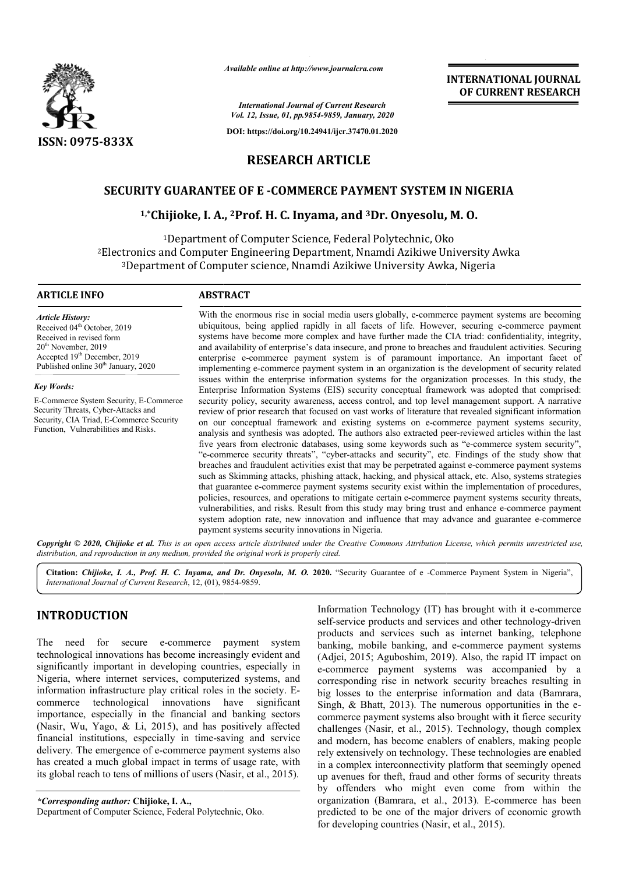

*Available online at http://www.journalcra.com*

*International Journal of Current Research Vol. 12, Issue, 01, pp.9854-9859, January, 2020*

**DOI: https://doi.org/10.24941/ijcr.37470.01.2020**

**INTERNATIONAL JOURNAL OF CURRENT RESEARCH**

# **RESEARCH ARTICLE**

## **SECURITY GUARANTEE OF E -COMMERCE PAYMENT SYSTEM IN NIGERIA**

# ITY GUARANTEE OF E -COMMERCE PAYMENT SYSTEM IN NI*.*<br>1,\*Chijioke, I. A., <sup>2</sup>Prof. H. C. Inyama, and <sup>3</sup>Dr. Onyesolu, M. O.

<sup>1</sup>Department of Computer Science, Federal Polytechnic, Oko <sup>1</sup>Department of Computer Science, Federal Polytechnic, Oko<sup>2</sup>Electronics and Computer Engineering Department, Nnamdi Azikiwe University Awka 3Department of Computer science, Nnamdi Azikiwe University Awka, Nigeria Computer Engineering Department, Nnamdi Azikiwe University Awka<br>it of Computer science, Nnamdi Azikiwe University Awka, Nigeria

### **ARTICLE INFO ABSTRACT**

*Article History:* Received 04<sup>th</sup> October, 2019 Received in revised form 20<sup>th</sup> November, 2019 Accepted 19<sup>th</sup> December, 2019 Published online  $30<sup>th</sup>$  January, 2020

*Key Words:*

E-Commerce System Security, E-Commerce Security Threats, Cyber-Attacks and Security, CIA Triad, E-Commerce Security Function, Vulnerabilities and Risks.

With the enormous rise in social media users globally, e-commerce payment systems are becoming With the enormous rise in social media users globally, e-commerce payment systems are becoming ubiquitous, being applied rapidly in all facets of life. However, securing e-commerce payment systems have become more complex and have further made the CIA triad: confidentiality, integrity, systems have become more complex and have further made the CIA triad: confidentiality, integrity, and availability of enterprise's data insecure, and prone to breaches and fraudulent activities. Securing enterprise e-commerce payment system is of paramount importance. An important facet of implementing e e-commerce payment system in an organization is the development of security related issues within the enterprise information systems for the organization processes. In this study, the Enterprise Information Systems (EIS) security conceptual framework was adopted that comprised security policy, security awareness, access control, and top level management support. A narrative review of prior research that focused on vast works of literature that revealed significant information on our conceptual framework and existing systems on e-commerce payment systems security, analysis and synthesis was adopted. The authors also extracted peer five years from electronic databases, using some keywords such as "e-commerce system security", "e-commerce security threats", "cyber-attacks and security", etc. Findings of the study show that "e-commerce security threats", "cyber-attacks and security", etc. Findings of the study show that breaches and fraudulent activities exist that may be perpetrated against e-commerce payment systems such as Skimming attacks, phishing attack, hacking, and physical attack, etc. Also, systems strategies such as Skimming attacks, phishing attack, hacking, and physical attack, etc. Also, systems strategies that guarantee e-commerce payment systems security exist within the implementation of procedures, policies, resources, and operations to mitigate certain e-commerce payment systems security threats, policies, resources, and operations to mitigate certain e-commerce payment systems security threats, vulnerabilities, and risks. Result from this study may bring trust and enhance e-commerce payment system adoption rate, new innovation and influence that may advance and guarantee e-commerce payment systems security innovations in Nigeria. enterprise e-commerce payment system is of paramount importance. An important facet of implementing e-commerce payment system in an organization is the development of security related issues within the enterprise informati security policy, security awareness, access control, and top level management support. A narrative<br>review of prior research that focused on vast works of literature that revealed significant information<br>on our conceptual f FORNAL<br>
FIRNAL<br>
FIRNAL<br>
FIRNAL<br>
FIRNAL<br>
FIRNAL<br>
FIRNAL<br>
FIRNAL<br>
FIRNAL<br>
FIRNAL<br>
FIRNAL<br>
FIRNAL<br>
FIRNAL<br>
FIRNAL<br>
FIRNAL<br>
FIRNAL<br>
FIRNAL<br>
FIRNAL<br>
FIRNAL<br>
FIRNAL<br>
FIRNAL<br>
FIRNAL<br>
FIRNAL<br>
FIRNAL<br>
FIRNAL<br>
FIRNAL<br>
FIRNAL<br>
FIRNAL

Copyright © 2020, Chijioke et al. This is an open access article distributed under the Creative Commons Attribution License, which permits unrestricted use, *distribution, and reproduction in any medium, provided the original work is properly cited.*

Citation: Chijioke, I. A., Prof. H. C. Inyama, and Dr. Onyesolu, M. O. 2020. "Security Guarantee of e -Commerce Payment System in Nigeria", *International Journal of Current Research*, 12, (01), 9854 9854-9859.

# **INTRODUCTION**

The need for secure e-commerce payment system technological innovations has become increasingly evident and significantly important in developing countries, especially in Nigeria, where internet services, computerized systems, and information infrastructure play critical roles in the society. E commerce technological innovations have significant importance, especially in the financial and banking sectors (Nasir, Wu, Yago, & Li, 2015), and has positively affected financial institutions, especially in time-saving and service delivery. The emergence of e-commerce payment systems also has created a much global impact in terms of usage rate, with its global reach to tens of millions of users (Nasir, et al., 2015). re e-commerce payment systems<br>s has become increasingly evident and<br>n developing countries, especially in<br>services, computerized systems, and<br>e play critical roles in the society. Ecommerce payment syst<br>pact in terms of usage r<br>ons of users (Nasir, et al<br>e, I. A.,<br>Federal Polytechnic, Oko.

*\*Corresponding author:* **Chijioke, I. A.,**  Department of Computer Science, Federal Polytechnic, Oko

Information Technology (IT) has brought with it e-commerce self-service products and services and other technology-driven products and services such as internet banking, telephone products and services such as internet banking, telephone banking, mobile banking, and e-commerce payment systems (Adjei, 2015; Aguboshim, 2019). Also, the rapid IT impact on e-commerce payment systems was accompanied by a corresponding rise in network security breaches resulting in big losses to the enterprise information and data (Bamrara, Singh,  $& Bhatt, 2013)$ . The numerous opportunities in the ecommerce payment systems also brought with it fierce security challenges (Nasir, et al., 2015). Technology, though complex and modern, has become enablers of enablers, making people rely extensively on technology. These technologies are enabled in a complex interconnectivity platform that seemingly opened up avenues for theft, fraud and other forms of security threats by offenders who might even come from within the organization (Bamrara, et al., 2013). E-commerce has been predicted to be one of the major drivers of economic growth for developing countries (Nasir, et al., 2015). Adjei, 2015; Aguboshim, 2019). Also, the rapid IT impact on commerce payment systems was accompanied by a prresponding rise in network security breaches resulting in g losses to the enterprise information and data (Bamrara commerce payment systems also brought with it fierce security challenges (Nasir, et al., 2015). Technology, though complex and modern, has become enablers of enablers, making people rely extensively on technology. These te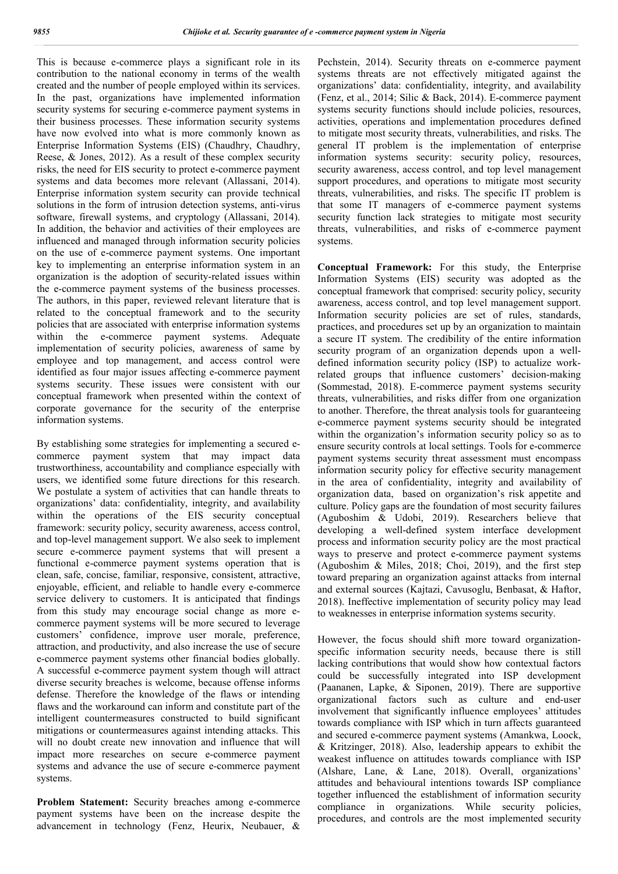This is because e-commerce plays a significant role in its contribution to the national economy in terms of the wealth created and the number of people employed within its services. In the past, organizations have implemented information security systems for securing e-commerce payment systems in their business processes. These information security systems have now evolved into what is more commonly known as Enterprise Information Systems (EIS) (Chaudhry, Chaudhry, Reese, & Jones, 2012). As a result of these complex security risks, the need for EIS security to protect e-commerce payment systems and data becomes more relevant (Allassani, 2014). Enterprise information system security can provide technical solutions in the form of intrusion detection systems, anti-virus software, firewall systems, and cryptology (Allassani, 2014). In addition, the behavior and activities of their employees are influenced and managed through information security policies on the use of e-commerce payment systems. One important key to implementing an enterprise information system in an organization is the adoption of security-related issues within the e-commerce payment systems of the business processes. The authors, in this paper, reviewed relevant literature that is related to the conceptual framework and to the security policies that are associated with enterprise information systems within the e-commerce payment systems. Adequate implementation of security policies, awareness of same by employee and top management, and access control were identified as four major issues affecting e-commerce payment systems security. These issues were consistent with our conceptual framework when presented within the context of corporate governance for the security of the enterprise information systems.

By establishing some strategies for implementing a secured ecommerce payment system that may impact data trustworthiness, accountability and compliance especially with users, we identified some future directions for this research. We postulate a system of activities that can handle threats to organizations' data: confidentiality, integrity, and availability within the operations of the EIS security conceptual framework: security policy, security awareness, access control, and top-level management support. We also seek to implement secure e-commerce payment systems that will present a functional e-commerce payment systems operation that is clean, safe, concise, familiar, responsive, consistent, attractive, enjoyable, efficient, and reliable to handle every e-commerce service delivery to customers. It is anticipated that findings from this study may encourage social change as more ecommerce payment systems will be more secured to leverage customers' confidence, improve user morale, preference, attraction, and productivity, and also increase the use of secure e-commerce payment systems other financial bodies globally. A successful e-commerce payment system though will attract diverse security breaches is welcome, because offense informs defense. Therefore the knowledge of the flaws or intending flaws and the workaround can inform and constitute part of the intelligent countermeasures constructed to build significant mitigations or countermeasures against intending attacks. This will no doubt create new innovation and influence that will impact more researches on secure e-commerce payment systems and advance the use of secure e-commerce payment systems.

**Problem Statement:** Security breaches among e-commerce payment systems have been on the increase despite the advancement in technology (Fenz, Heurix, Neubauer, &

Pechstein, 2014). Security threats on e-commerce payment systems threats are not effectively mitigated against the organizations' data: confidentiality, integrity, and availability (Fenz, et al., 2014; Silic & Back, 2014). E-commerce payment systems security functions should include policies, resources, activities, operations and implementation procedures defined to mitigate most security threats, vulnerabilities, and risks. The general IT problem is the implementation of enterprise information systems security: security policy, resources, security awareness, access control, and top level management support procedures, and operations to mitigate most security threats, vulnerabilities, and risks. The specific IT problem is that some IT managers of e-commerce payment systems security function lack strategies to mitigate most security threats, vulnerabilities, and risks of e-commerce payment systems.

**Conceptual Framework:** For this study, the Enterprise Information Systems (EIS) security was adopted as the conceptual framework that comprised: security policy, security awareness, access control, and top level management support. Information security policies are set of rules, standards, practices, and procedures set up by an organization to maintain a secure IT system. The credibility of the entire information security program of an organization depends upon a welldefined information security policy (ISP) to actualize workrelated groups that influence customers' decision-making (Sommestad, 2018). E-commerce payment systems security threats, vulnerabilities, and risks differ from one organization to another. Therefore, the threat analysis tools for guaranteeing e-commerce payment systems security should be integrated within the organization's information security policy so as to ensure security controls at local settings. Tools for e-commerce payment systems security threat assessment must encompass information security policy for effective security management in the area of confidentiality, integrity and availability of organization data, based on organization's risk appetite and culture. Policy gaps are the foundation of most security failures (Aguboshim & Udobi, 2019). Researchers believe that developing a well-defined system interface development process and information security policy are the most practical ways to preserve and protect e-commerce payment systems (Aguboshim & Miles, 2018; Choi, 2019), and the first step toward preparing an organization against attacks from internal and external sources (Kajtazi, Cavusoglu, Benbasat, & Haftor, 2018). Ineffective implementation of security policy may lead to weaknesses in enterprise information systems security.

However, the focus should shift more toward organizationspecific information security needs, because there is still lacking contributions that would show how contextual factors could be successfully integrated into ISP development (Paananen, Lapke, & Siponen, 2019). There are supportive organizational factors such as culture and end-user involvement that significantly influence employees' attitudes towards compliance with ISP which in turn affects guaranteed and secured e-commerce payment systems (Amankwa, Loock, & Kritzinger, 2018). Also, leadership appears to exhibit the weakest influence on attitudes towards compliance with ISP (Alshare, Lane, & Lane, 2018). Overall, organizations' attitudes and behavioural intentions towards ISP compliance together influenced the establishment of information security compliance in organizations. While security policies, procedures, and controls are the most implemented security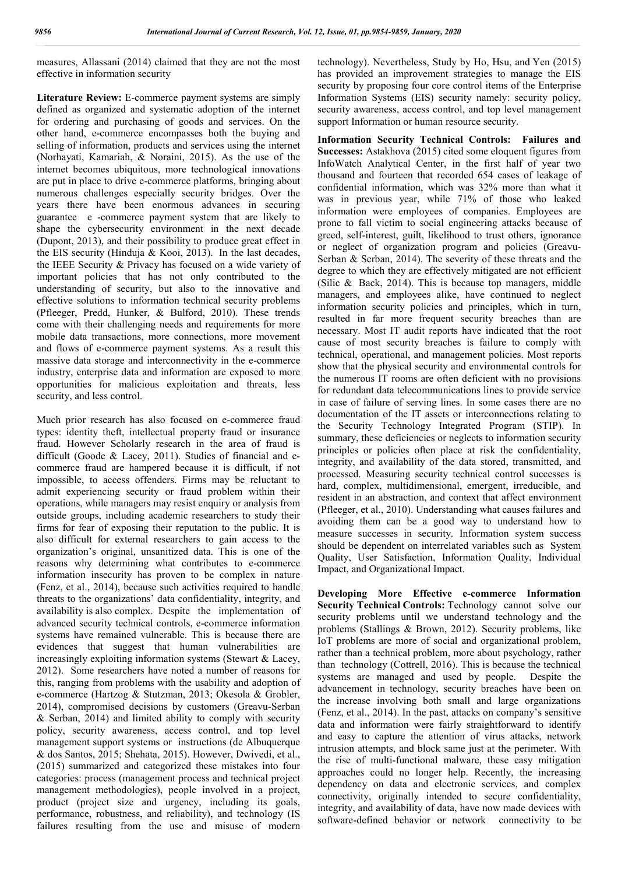measures, Allassani (2014) claimed that they are not the most effective in information security

**Literature Review:** E-commerce payment systems are simply defined as organized and systematic adoption of the internet for ordering and purchasing of goods and services. On the other hand, e-commerce encompasses both the buying and selling of information, products and services using the internet (Norhayati, Kamariah, & Noraini, 2015). As the use of the internet becomes ubiquitous, more technological innovations are put in place to drive e-commerce platforms, bringing about numerous challenges especially security bridges. Over the years there have been enormous advances in securing guarantee e -commerce payment system that are likely to shape the cybersecurity environment in the next decade (Dupont, 2013), and their possibility to produce great effect in the EIS security (Hinduja & Kooi, 2013). In the last decades, the IEEE Security & Privacy has focused on a wide variety of important policies that has not only contributed to the understanding of security, but also to the innovative and effective solutions to information technical security problems (Pfleeger, Predd, Hunker, & Bulford, 2010). These trends come with their challenging needs and requirements for more mobile data transactions, more connections, more movement and flows of e-commerce payment systems. As a result this massive data storage and interconnectivity in the e-commerce industry, enterprise data and information are exposed to more opportunities for malicious exploitation and threats, less security, and less control.

Much prior research has also focused on e-commerce fraud types: identity theft, intellectual property fraud or insurance fraud. However Scholarly research in the area of fraud is difficult (Goode & Lacey, 2011). Studies of financial and ecommerce fraud are hampered because it is difficult, if not impossible, to access offenders. Firms may be reluctant to admit experiencing security or fraud problem within their operations, while managers may resist enquiry or analysis from outside groups, including academic researchers to study their firms for fear of exposing their reputation to the public. It is also difficult for external researchers to gain access to the organization's original, unsanitized data. This is one of the reasons why determining what contributes to e-commerce information insecurity has proven to be complex in nature (Fenz, et al., 2014), because such activities required to handle threats to the organizations' data confidentiality, integrity, and availability is also complex. Despite the implementation of advanced security technical controls, e-commerce information systems have remained vulnerable. This is because there are evidences that suggest that human vulnerabilities are increasingly exploiting information systems (Stewart & Lacey, 2012). Some researchers have noted a number of reasons for this, ranging from problems with the usability and adoption of e-commerce (Hartzog & Stutzman, 2013; Okesola & Grobler, 2014), compromised decisions by customers (Greavu-Serban & Serban, 2014) and limited ability to comply with security policy, security awareness, access control, and top level management support systems or instructions (de Albuquerque & dos Santos, 2015; Shehata, 2015). However, Dwivedi, et al., (2015) summarized and categorized these mistakes into four categories: process (management process and technical project management methodologies), people involved in a project, product (project size and urgency, including its goals, performance, robustness, and reliability), and technology (IS failures resulting from the use and misuse of modern

technology). Nevertheless, Study by Ho, Hsu, and Yen (2015) has provided an improvement strategies to manage the EIS security by proposing four core control items of the Enterprise Information Systems (EIS) security namely: security policy, security awareness, access control, and top level management support Information or human resource security.

**Information Security Technical Controls: Failures and Successes:** Astakhova (2015) cited some eloquent figures from InfoWatch Analytical Center, in the first half of year two thousand and fourteen that recorded 654 cases of leakage of confidential information, which was 32% more than what it was in previous year, while 71% of those who leaked information were employees of companies. Employees are prone to fall victim to social engineering attacks because of greed, self-interest, guilt, likelihood to trust others, ignorance or neglect of organization program and policies (Greavu-Serban & Serban, 2014). The severity of these threats and the degree to which they are effectively mitigated are not efficient (Silic & Back, 2014). This is because top managers, middle managers, and employees alike, have continued to neglect information security policies and principles, which in turn, resulted in far more frequent security breaches than are necessary. Most IT audit reports have indicated that the root cause of most security breaches is failure to comply with technical, operational, and management policies. Most reports show that the physical security and environmental controls for the numerous IT rooms are often deficient with no provisions for redundant data telecommunications lines to provide service in case of failure of serving lines. In some cases there are no documentation of the IT assets or interconnections relating to the Security Technology Integrated Program (STIP). In summary, these deficiencies or neglects to information security principles or policies often place at risk the confidentiality, integrity, and availability of the data stored, transmitted, and processed. Measuring security technical control successes is hard, complex, multidimensional, emergent, irreducible, and resident in an abstraction, and context that affect environment (Pfleeger, et al., 2010). Understanding what causes failures and avoiding them can be a good way to understand how to measure successes in security. Information system success should be dependent on interrelated variables such as System Quality, User Satisfaction, Information Quality, Individual Impact, and Organizational Impact.

**Developing More Effective e-commerce Information Security Technical Controls:** Technology cannot solve our security problems until we understand technology and the problems (Stallings & Brown, 2012). Security problems, like IoT problems are more of social and organizational problem, rather than a technical problem, more about psychology, rather than technology (Cottrell, 2016). This is because the technical systems are managed and used by people. Despite the advancement in technology, security breaches have been on the increase involving both small and large organizations (Fenz, et al., 2014). In the past, attacks on company's sensitive data and information were fairly straightforward to identify and easy to capture the attention of virus attacks, network intrusion attempts, and block same just at the perimeter. With the rise of multi-functional malware, these easy mitigation approaches could no longer help. Recently, the increasing dependency on data and electronic services, and complex connectivity, originally intended to secure confidentiality, integrity, and availability of data, have now made devices with software-defined behavior or network connectivity to be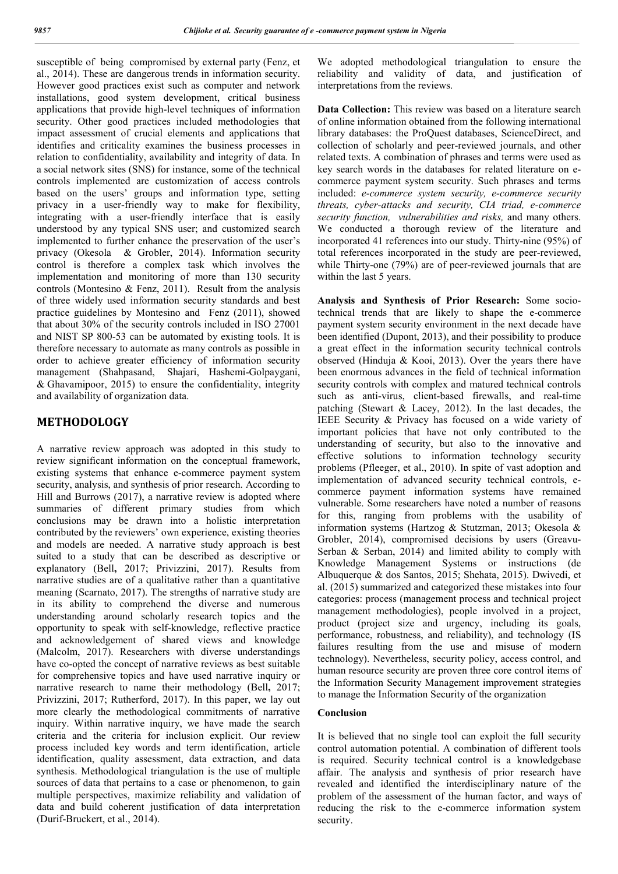susceptible of being compromised by external party (Fenz, et al., 2014). These are dangerous trends in information security. However good practices exist such as computer and network installations, good system development, critical business applications that provide high-level techniques of information security. Other good practices included methodologies that impact assessment of crucial elements and applications that identifies and criticality examines the business processes in relation to confidentiality, availability and integrity of data. In a social network sites (SNS) for instance, some of the technical controls implemented are customization of access controls based on the users' groups and information type, setting privacy in a user-friendly way to make for flexibility, integrating with a user-friendly interface that is easily understood by any typical SNS user; and customized search implemented to further enhance the preservation of the user's privacy (Okesola & Grobler, 2014). Information security control is therefore a complex task which involves the implementation and monitoring of more than 130 security controls (Montesino & Fenz, 2011). Result from the analysis of three widely used information security standards and best practice guidelines by Montesino and Fenz (2011), showed that about 30% of the security controls included in ISO 27001 and NIST SP 800-53 can be automated by existing tools. It is therefore necessary to automate as many controls as possible in order to achieve greater efficiency of information security management (Shahpasand, Shajari, Hashemi-Golpaygani, & Ghavamipoor, 2015) to ensure the confidentiality, integrity and availability of organization data.

### **METHODOLOGY**

A narrative review approach was adopted in this study to review significant information on the conceptual framework, existing systems that enhance e-commerce payment system security, analysis, and synthesis of prior research. According to Hill and Burrows (2017), a narrative review is adopted where summaries of different primary studies from which conclusions may be drawn into a holistic interpretation contributed by the reviewers' own experience, existing theories and models are needed. A narrative study approach is best suited to a study that can be described as descriptive or explanatory (Bell**,** 2017; Privizzini, 2017). Results from narrative studies are of a qualitative rather than a quantitative meaning (Scarnato, 2017). The strengths of narrative study are in its ability to comprehend the diverse and numerous understanding around scholarly research topics and the opportunity to speak with self-knowledge, reflective practice and acknowledgement of shared views and knowledge (Malcolm, 2017). Researchers with diverse understandings have co-opted the concept of narrative reviews as best suitable for comprehensive topics and have used narrative inquiry or narrative research to name their methodology (Bell**,** 2017; Privizzini, 2017; Rutherford, 2017). In this paper, we lay out more clearly the methodological commitments of narrative inquiry. Within narrative inquiry, we have made the search criteria and the criteria for inclusion explicit. Our review process included key words and term identification, article identification, quality assessment, data extraction, and data synthesis. Methodological triangulation is the use of multiple sources of data that pertains to a case or phenomenon, to gain multiple perspectives, maximize reliability and validation of data and build coherent justification of data interpretation (Durif-Bruckert, et al., 2014).

We adopted methodological triangulation to ensure the reliability and validity of data, and justification of interpretations from the reviews.

**Data Collection:** This review was based on a literature search of online information obtained from the following international library databases: the ProQuest databases, ScienceDirect, and collection of scholarly and peer-reviewed journals, and other related texts. A combination of phrases and terms were used as key search words in the databases for related literature on ecommerce payment system security. Such phrases and terms included: *e-commerce system security, e-commerce security threats, cyber-attacks and security, CIA triad, e-commerce security function, vulnerabilities and risks,* and many others. We conducted a thorough review of the literature and incorporated 41 references into our study. Thirty-nine (95%) of total references incorporated in the study are peer-reviewed, while Thirty-one (79%) are of peer-reviewed journals that are within the last 5 years.

**Analysis and Synthesis of Prior Research:** Some sociotechnical trends that are likely to shape the e-commerce payment system security environment in the next decade have been identified (Dupont, 2013), and their possibility to produce a great effect in the information security technical controls observed (Hinduja & Kooi, 2013). Over the years there have been enormous advances in the field of technical information security controls with complex and matured technical controls such as anti-virus, client-based firewalls, and real-time patching (Stewart & Lacey, 2012). In the last decades, the IEEE Security & Privacy has focused on a wide variety of important policies that have not only contributed to the understanding of security, but also to the innovative and effective solutions to information technology security problems (Pfleeger, et al., 2010). In spite of vast adoption and implementation of advanced security technical controls, ecommerce payment information systems have remained vulnerable. Some researchers have noted a number of reasons for this, ranging from problems with the usability of information systems (Hartzog & Stutzman, 2013; Okesola & Grobler, 2014), compromised decisions by users (Greavu-Serban & Serban, 2014) and limited ability to comply with Knowledge Management Systems or instructions (de Albuquerque & dos Santos, 2015; Shehata, 2015). Dwivedi, et al. (2015) summarized and categorized these mistakes into four categories: process (management process and technical project management methodologies), people involved in a project, product (project size and urgency, including its goals, performance, robustness, and reliability), and technology (IS failures resulting from the use and misuse of modern technology). Nevertheless, security policy, access control, and human resource security are proven three core control items of the Information Security Management improvement strategies to manage the Information Security of the organization

### **Conclusion**

It is believed that no single tool can exploit the full security control automation potential. A combination of different tools is required. Security technical control is a knowledgebase affair. The analysis and synthesis of prior research have revealed and identified the interdisciplinary nature of the problem of the assessment of the human factor, and ways of reducing the risk to the e-commerce information system security.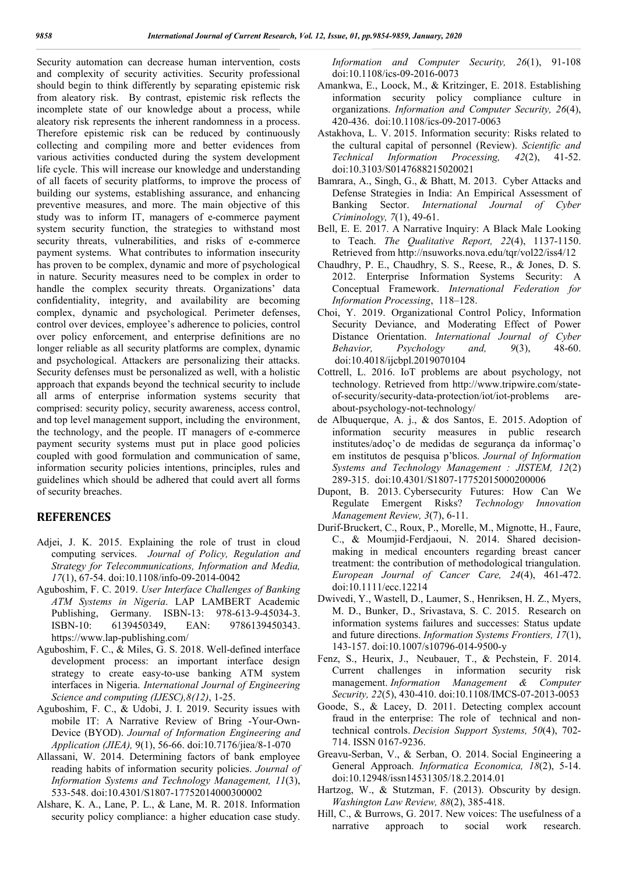Security automation can decrease human intervention, costs and complexity of security activities. Security professional should begin to think differently by separating epistemic risk from aleatory risk. By contrast, epistemic risk reflects the incomplete state of our knowledge about a process, while aleatory risk represents the inherent randomness in a process. Therefore epistemic risk can be reduced by continuously collecting and compiling more and better evidences from various activities conducted during the system development life cycle. This will increase our knowledge and understanding of all facets of security platforms, to improve the process of building our systems, establishing assurance, and enhancing preventive measures, and more. The main objective of this study was to inform IT, managers of e-commerce payment system security function, the strategies to withstand most security threats, vulnerabilities, and risks of e-commerce payment systems. What contributes to information insecurity has proven to be complex, dynamic and more of psychological in nature. Security measures need to be complex in order to handle the complex security threats. Organizations' data confidentiality, integrity, and availability are becoming complex, dynamic and psychological. Perimeter defenses, control over devices, employee's adherence to policies, control over policy enforcement, and enterprise definitions are no longer reliable as all security platforms are complex, dynamic and psychological. Attackers are personalizing their attacks. Security defenses must be personalized as well, with a holistic approach that expands beyond the technical security to include all arms of enterprise information systems security that comprised: security policy, security awareness, access control, and top level management support, including the environment, the technology, and the people. IT managers of e-commerce payment security systems must put in place good policies coupled with good formulation and communication of same, information security policies intentions, principles, rules and guidelines which should be adhered that could avert all forms of security breaches.

### **REFERENCES**

- Adjei, J. K. 2015. Explaining the role of trust in cloud computing services. *Journal of Policy, Regulation and Strategy for Telecommunications, Information and Media, 17*(1), 67-54. doi:10.1108/info-09-2014-0042
- Aguboshim, F. C. 2019. *User Interface Challenges of Banking ATM Systems in Nigeria*. LAP LAMBERT Academic Publishing, Germany. ISBN-13: 978-613-9-45034-3. ISBN-10: 6139450349, EAN: 9786139450343. https://www.lap-publishing.com/
- Aguboshim, F. C., & Miles, G. S. 2018. Well-defined interface development process: an important interface design strategy to create easy-to-use banking ATM system interfaces in Nigeria. *International Journal of Engineering Science and computing (IJESC),8(12)*, 1-25.
- Aguboshim, F. C., & Udobi, J. I. 2019. Security issues with mobile IT: A Narrative Review of Bring -Your-Own-Device (BYOD). *Journal of Information Engineering and Application (JIEA),* 9(1), 56-66. doi:10.7176/jiea/8-1-070
- Allassani, W. 2014. Determining factors of bank employee reading habits of information security policies. *Journal of Information Systems and Technology Management, 11*(3), 533-548. doi:10.4301/S1807-17752014000300002
- Alshare, K. A., Lane, P. L., & Lane, M. R. 2018. Information security policy compliance: a higher education case study.

*Information and Computer Security, 26*(1), 91-108 doi:10.1108/ics-09-2016-0073

- Amankwa, E., Loock, M., & Kritzinger, E. 2018. Establishing information security policy compliance culture in organizations. *Information and Computer Security, 26*(4), 420-436. doi:10.1108/ics-09-2017-0063
- Astakhova, L. V. 2015. Information security: Risks related to the cultural capital of personnel (Review). *Scientific and Technical Information Processing, 42*(2), 41-52. doi:10.3103/S0147688215020021
- Bamrara, A., Singh, G., & Bhatt, M. 2013. Cyber Attacks and Defense Strategies in India: An Empirical Assessment of Banking Sector. *International Journal of Cyber Criminology, 7*(1), 49-61.
- Bell, E. E. 2017. A Narrative Inquiry: A Black Male Looking to Teach. *The Qualitative Report, 22*(4), 1137-1150. Retrieved from http://nsuworks.nova.edu/tqr/vol22/iss4/12
- Chaudhry, P. E., Chaudhry, S. S., Reese, R., & Jones, D. S. 2012. Enterprise Information Systems Security: A Conceptual Framework. *International Federation for Information Processing*, 118–128.
- Choi, Y. 2019. Organizational Control Policy, Information Security Deviance, and Moderating Effect of Power Distance Orientation. *International Journal of Cyber Behavior, Psychology and, 9*(3), 48-60. doi:10.4018/ijcbpl.2019070104
- Cottrell, L. 2016. IoT problems are about psychology, not technology. Retrieved from http://www.tripwire.com/stateof-security/security-data-protection/iot/iot-problems areabout-psychology-not-technology/
- de Albuquerque, A. j., & dos Santos, E. 2015. Adoption of information security measures in public research institutes/adoç'o de medidas de segurança da informaç'o em institutos de pesquisa p'blicos. *Journal of Information Systems and Technology Management : JISTEM, 12*(2) 289-315. doi:10.4301/S1807-17752015000200006
- Dupont, B. 2013. Cybersecurity Futures: How Can We Regulate Emergent Risks? *Technology Innovation Management Review, 3*(7), 6-11.
- Durif-Bruckert, C., Roux, P., Morelle, M., Mignotte, H., Faure, C., & Moumjid-Ferdjaoui, N. 2014. Shared decisionmaking in medical encounters regarding breast cancer treatment: the contribution of methodological triangulation. *European Journal of Cancer Care, 24*(4), 461-472. doi:10.1111/ecc.12214
- Dwivedi, Y., Wastell, D., Laumer, S., Henriksen, H. Z., Myers, M. D., Bunker, D., Srivastava, S. C. 2015. Research on information systems failures and successes: Status update and future directions. *Information Systems Frontiers, 17*(1), 143-157. doi:10.1007/s10796-014-9500-y
- Fenz, S., Heurix, J., Neubauer, T., & Pechstein, F. 2014. Current challenges in information security risk management. *Information Management & Computer Security, 22*(5), 430-410. doi:10.1108/IMCS-07-2013-0053
- Goode, S., & Lacey, D. 2011. Detecting complex account fraud in the enterprise: The role of technical and nontechnical controls. *Decision Support Systems, 50*(4), 702- 714. ISSN 0167-9236.
- Greavu-Serban, V., & Serban, O. 2014. Social Engineering a General Approach. *Informatica Economica, 18*(2), 5-14. doi:10.12948/issn14531305/18.2.2014.01
- Hartzog, W., & Stutzman, F. (2013). Obscurity by design. *Washington Law Review, 88*(2), 385-418.
- Hill, C., & Burrows, G. 2017. New voices: The usefulness of a narrative approach to social work research.